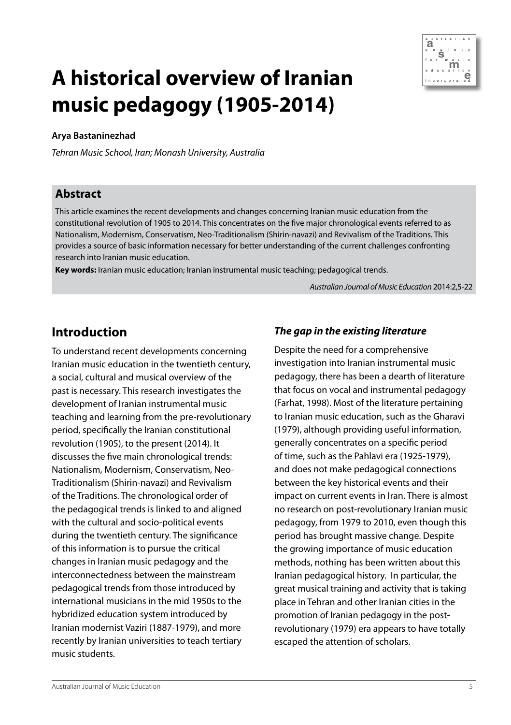

# **A historical overview of Iranian music pedagogy (1905-2014)**

#### **Arya Bastaninezhad**

*Tehran Music School, Iran; Monash University, Australia*

#### **Abstract**

This article examines the recent developments and changes concerning Iranian music education from the constitutional revolution of 1905 to 2014. This concentrates on the five major chronological events referred to as Nationalism, Modernism, Conservatism, Neo-Traditionalism (Shirin-navazi) and Revivalism of the Traditions. This provides a source of basic information necessary for better understanding of the current challenges confronting research into Iranian music education.

**Key words:** Iranian music education; Iranian instrumental music teaching; pedagogical trends.

*Australian Journal of Music Education* 2014:2,5-22

# **Introduction**

To understand recent developments concerning Iranian music education in the twentieth century, a social, cultural and musical overview of the past is necessary. This research investigates the development of Iranian instrumental music teaching and learning from the pre-revolutionary period, specifically the Iranian constitutional revolution (1905), to the present (2014). It discusses the five main chronological trends: Nationalism, Modernism, Conservatism, Neo-Traditionalism (Shirin-navazi) and Revivalism of the Traditions. The chronological order of the pedagogical trends is linked to and aligned with the cultural and socio-political events during the twentieth century. The significance of this information is to pursue the critical changes in Iranian music pedagogy and the interconnectedness between the mainstream pedagogical trends from those introduced by international musicians in the mid 1950s to the hybridized education system introduced by Iranian modernist Vaziri (1887-1979), and more recently by Iranian universities to teach tertiary music students.

#### *The gap in the existing literature*

Despite the need for a comprehensive investigation into Iranian instrumental music pedagogy, there has been a dearth of literature that focus on vocal and instrumental pedagogy (Farhat, 1998). Most of the literature pertaining to Iranian music education, such as the Gharavi (1979), although providing useful information, generally concentrates on a specific period of time, such as the Pahlavi era (1925-1979), and does not make pedagogical connections between the key historical events and their impact on current events in Iran. There is almost no research on post-revolutionary Iranian music pedagogy, from 1979 to 2010, even though this period has brought massive change. Despite the growing importance of music education methods, nothing has been written about this Iranian pedagogical history. In particular, the great musical training and activity that is taking place in Tehran and other Iranian cities in the promotion of Iranian pedagogy in the postrevolutionary (1979) era appears to have totally escaped the attention of scholars.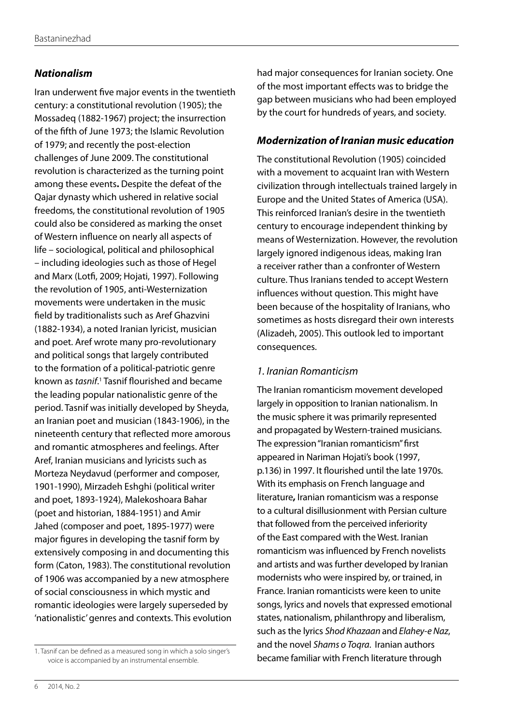#### *Nationalism*

Iran underwent five major events in the twentieth century: a constitutional revolution (1905); the Mossadeq (1882-1967) project; the insurrection of the fifth of June 1973; the Islamic Revolution of 1979; and recently the post-election challenges of June 2009. The constitutional revolution is characterized as the turning point among these events**.** Despite the defeat of the Qajar dynasty which ushered in relative social freedoms, the constitutional revolution of 1905 could also be considered as marking the onset of Western influence on nearly all aspects of life – sociological, political and philosophical – including ideologies such as those of Hegel and Marx (Lotfi, 2009; Hojati, 1997). Following the revolution of 1905, anti-Westernization movements were undertaken in the music field by traditionalists such as Aref Ghazvini (1882-1934), a noted Iranian lyricist, musician and poet. Aref wrote many pro-revolutionary and political songs that largely contributed to the formation of a political-patriotic genre known as *tasnif*.<sup>1</sup> Tasnif flourished and became the leading popular nationalistic genre of the period. Tasnif was initially developed by Sheyda, an Iranian poet and musician (1843-1906), in the nineteenth century that reflected more amorous and romantic atmospheres and feelings. After Aref, Iranian musicians and lyricists such as Morteza Neydavud (performer and composer, 1901-1990), Mirzadeh Eshghi (political writer and poet, 1893-1924), Malekoshoara Bahar (poet and historian, 1884-1951) and Amir Jahed (composer and poet, 1895-1977) were major figures in developing the tasnif form by extensively composing in and documenting this form (Caton, 1983). The constitutional revolution of 1906 was accompanied by a new atmosphere of social consciousness in which mystic and romantic ideologies were largely superseded by 'nationalistic' genres and contexts. This evolution

had major consequences for Iranian society. One of the most important effects was to bridge the gap between musicians who had been employed by the court for hundreds of years, and society.

#### *Modernization of Iranian music education*

The constitutional Revolution (1905) coincided with a movement to acquaint Iran with Western civilization through intellectuals trained largely in Europe and the United States of America (USA). This reinforced Iranian's desire in the twentieth century to encourage independent thinking by means of Westernization. However, the revolution largely ignored indigenous ideas, making Iran a receiver rather than a confronter of Western culture. Thus Iranians tended to accept Western influences without question. This might have been because of the hospitality of Iranians, who sometimes as hosts disregard their own interests (Alizadeh, 2005). This outlook led to important consequences.

#### *1. Iranian Romanticism*

The Iranian romanticism movement developed largely in opposition to Iranian nationalism. In the music sphere it was primarily represented and propagated by Western-trained musicians. The expression "Iranian romanticism" first appeared in Nariman Hojati's book (1997, p.136) in 1997. It flourished until the late 1970s. With its emphasis on French language and literature**,** Iranian romanticism was a response to a cultural disillusionment with Persian culture that followed from the perceived inferiority of the East compared with the West. Iranian romanticism was influenced by French novelists and artists and was further developed by Iranian modernists who were inspired by, or trained, in France. Iranian romanticists were keen to unite songs, lyrics and novels that expressed emotional states, nationalism, philanthropy and liberalism, such as the lyrics *Shod Khazaan* and *Elahey-e Naz*, and the novel *Shams o Toqra*. Iranian authors became familiar with French literature through

<sup>1.</sup> Tasnif can be defined as a measured song in which a solo singer's voice is accompanied by an instrumental ensemble.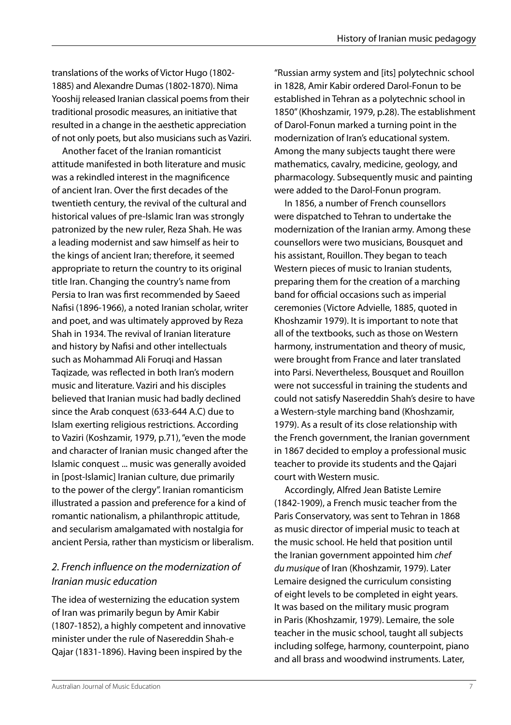translations of the works of Victor Hugo (1802- 1885) and Alexandre Dumas (1802-1870). Nima Yooshij released Iranian classical poems from their traditional prosodic measures, an initiative that resulted in a change in the aesthetic appreciation of not only poets, but also musicians such as Vaziri.

Another facet of the Iranian romanticist attitude manifested in both literature and music was a rekindled interest in the magnificence of ancient Iran. Over the first decades of the twentieth century, the revival of the cultural and historical values of pre-Islamic Iran was strongly patronized by the new ruler, Reza Shah. He was a leading modernist and saw himself as heir to the kings of ancient Iran; therefore, it seemed appropriate to return the country to its original title Iran. Changing the country's name from Persia to Iran was first recommended by Saeed Nafisi (1896-1966), a noted Iranian scholar, writer and poet, and was ultimately approved by Reza Shah in 1934. The revival of Iranian literature and history by Nafisi and other intellectuals such as Mohammad Ali Forugi and Hassan Taqizade*,* was reflected in both Iran's modern music and literature. Vaziri and his disciples believed that Iranian music had badly declined since the Arab conquest (633-644 A.C) due to Islam exerting religious restrictions. According to Vaziri (Koshzamir, 1979, p.71), "even the mode and character of Iranian music changed after the Islamic conquest ... music was generally avoided in [post-Islamic] Iranian culture, due primarily to the power of the clergy". Iranian romanticism illustrated a passion and preference for a kind of romantic nationalism, a philanthropic attitude, and secularism amalgamated with nostalgia for ancient Persia, rather than mysticism or liberalism.

# *2. French influence on the modernization of Iranian music education*

The idea of westernizing the education system of Iran was primarily begun by Amir Kabir (1807-1852), a highly competent and innovative minister under the rule of Nasereddin Shah-e Qajar (1831-1896). Having been inspired by the

"Russian army system and [its] polytechnic school in 1828, Amir Kabir ordered Darol-Fonun to be established in Tehran as a polytechnic school in 1850" (Khoshzamir, 1979, p.28). The establishment of Darol-Fonun marked a turning point in the modernization of Iran's educational system. Among the many subjects taught there were mathematics, cavalry, medicine, geology, and pharmacology. Subsequently music and painting were added to the Darol-Fonun program.

In 1856, a number of French counsellors were dispatched to Tehran to undertake the modernization of the Iranian army. Among these counsellors were two musicians, Bousquet and his assistant, Rouillon. They began to teach Western pieces of music to Iranian students, preparing them for the creation of a marching band for official occasions such as imperial ceremonies (Victore Advielle, 1885, quoted in Khoshzamir 1979). It is important to note that all of the textbooks, such as those on Western harmony, instrumentation and theory of music, were brought from France and later translated into Parsi. Nevertheless, Bousquet and Rouillon were not successful in training the students and could not satisfy Nasereddin Shah's desire to have a Western-style marching band (Khoshzamir, 1979). As a result of its close relationship with the French government, the Iranian government in 1867 decided to employ a professional music teacher to provide its students and the Qajari court with Western music.

Accordingly, Alfred Jean Batiste Lemire (1842-1909), a French music teacher from the Paris Conservatory, was sent to Tehran in 1868 as music director of imperial music to teach at the music school. He held that position until the Iranian government appointed him *chef du musique* of Iran (Khoshzamir, 1979). Later Lemaire designed the curriculum consisting of eight levels to be completed in eight years. It was based on the military music program in Paris (Khoshzamir, 1979). Lemaire, the sole teacher in the music school, taught all subjects including solfege, harmony, counterpoint, piano and all brass and woodwind instruments. Later,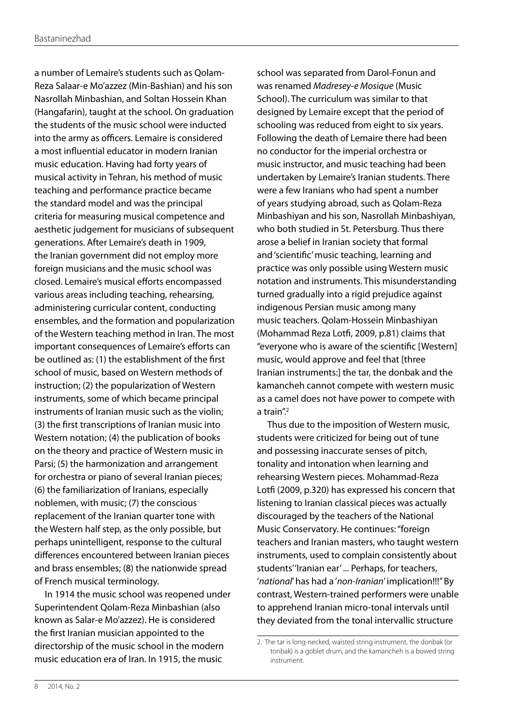a number of Lemaire's students such as Qolam-Reza Salaar-e Mo'azzez (Min-Bashian) and his son Nasrollah Minbashian, and Soltan Hossein Khan (Hangafarin), taught at the school. On graduation the students of the music school were inducted into the army as officers. Lemaire is considered a most influential educator in modern Iranian music education. Having had forty years of musical activity in Tehran, his method of music teaching and performance practice became the standard model and was the principal criteria for measuring musical competence and aesthetic judgement for musicians of subsequent generations. After Lemaire's death in 1909, the Iranian government did not employ more foreign musicians and the music school was closed. Lemaire's musical efforts encompassed various areas including teaching, rehearsing, administering curricular content, conducting ensembles, and the formation and popularization of the Western teaching method in Iran. The most important consequences of Lemaire's efforts can be outlined as: (1) the establishment of the first school of music, based on Western methods of instruction; (2) the popularization of Western instruments, some of which became principal instruments of Iranian music such as the violin; (3) the first transcriptions of Iranian music into Western notation; (4) the publication of books on the theory and practice of Western music in Parsi; (5) the harmonization and arrangement for orchestra or piano of several Iranian pieces; (6) the familiarization of Iranians, especially noblemen, with music; (7) the conscious replacement of the Iranian quarter tone with the Western half step, as the only possible, but perhaps unintelligent, response to the cultural differences encountered between Iranian pieces and brass ensembles; (8) the nationwide spread of French musical terminology.

In 1914 the music school was reopened under Superintendent Qolam-Reza Minbashian (also known as Salar-e Mo'azzez). He is considered the first Iranian musician appointed to the directorship of the music school in the modern music education era of Iran. In 1915, the music

school was separated from Darol-Fonun and was renamed *Madresey-e Mosique* (Music School). The curriculum was similar to that designed by Lemaire except that the period of schooling was reduced from eight to six years. Following the death of Lemaire there had been no conductor for the imperial orchestra or music instructor, and music teaching had been undertaken by Lemaire's Iranian students. There were a few Iranians who had spent a number of years studying abroad, such as Qolam-Reza Minbashiyan and his son, Nasrollah Minbashiyan, who both studied in St. Petersburg. Thus there arose a belief in Iranian society that formal and 'scientific' music teaching, learning and practice was only possible using Western music notation and instruments. This misunderstanding turned gradually into a rigid prejudice against indigenous Persian music among many music teachers. Qolam-Hossein Minbashiyan (Mohammad Reza Lotfi, 2009, p.81) claims that "everyone who is aware of the scientific [Western] music, would approve and feel that [three Iranian instruments:] the tar, the donbak and the kamancheh cannot compete with western music as a camel does not have power to compete with a train $"^2$ 

Thus due to the imposition of Western music, students were criticized for being out of tune and possessing inaccurate senses of pitch, tonality and intonation when learning and rehearsing Western pieces. Mohammad-Reza Lotfi (2009, p.320) has expressed his concern that listening to Iranian classical pieces was actually discouraged by the teachers of the National Music Conservatory. He continues: "foreign teachers and Iranian masters, who taught western instruments, used to complain consistently about students''Iranian ear'... Perhaps, for teachers, '*national*' has had a '*non-Iranian*' implication!!!" By contrast, Western-trained performers were unable to apprehend Iranian micro-tonal intervals until they deviated from the tonal intervallic structure

<sup>2.</sup> The tar is long-necked, waisted string instrument, the donbak (or tonbak) is a goblet drum, and the kamancheh is a bowed string instrument.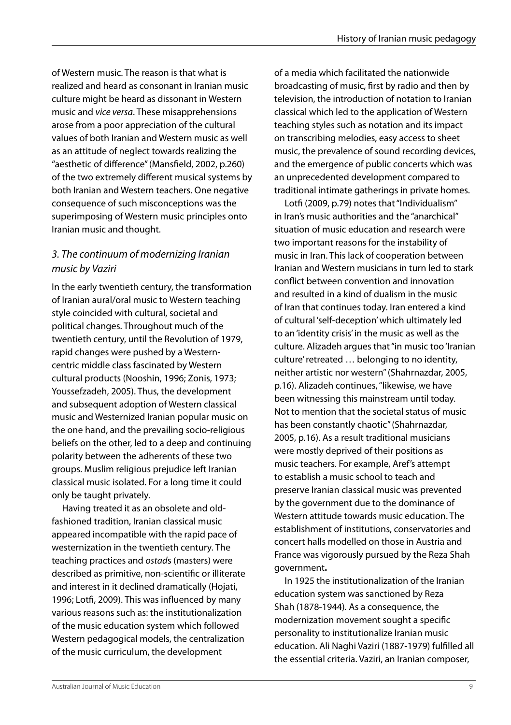of Western music. The reason is that what is realized and heard as consonant in Iranian music culture might be heard as dissonant in Western music and *vice versa*. These misapprehensions arose from a poor appreciation of the cultural values of both Iranian and Western music as well as an attitude of neglect towards realizing the "aesthetic of difference" (Mansfield, 2002, p.260) of the two extremely different musical systems by both Iranian and Western teachers. One negative consequence of such misconceptions was the superimposing of Western music principles onto Iranian music and thought.

# *3. The continuum of modernizing Iranian music by Vaziri*

In the early twentieth century, the transformation of Iranian aural/oral music to Western teaching style coincided with cultural, societal and political changes. Throughout much of the twentieth century, until the Revolution of 1979, rapid changes were pushed by a Westerncentric middle class fascinated by Western cultural products (Nooshin, 1996; Zonis, 1973; Youssefzadeh, 2005). Thus, the development and subsequent adoption of Western classical music and Westernized Iranian popular music on the one hand, and the prevailing socio-religious beliefs on the other, led to a deep and continuing polarity between the adherents of these two groups. Muslim religious prejudice left Iranian classical music isolated. For a long time it could only be taught privately.

Having treated it as an obsolete and oldfashioned tradition, Iranian classical music appeared incompatible with the rapid pace of westernization in the twentieth century. The teaching practices and *ostad*s (masters) were described as primitive, non-scientific or illiterate and interest in it declined dramatically (Hojati, 1996; Lotfi, 2009). This was influenced by many various reasons such as: the institutionalization of the music education system which followed Western pedagogical models, the centralization of the music curriculum, the development

of a media which facilitated the nationwide broadcasting of music, first by radio and then by television, the introduction of notation to Iranian classical which led to the application of Western teaching styles such as notation and its impact on transcribing melodies, easy access to sheet music, the prevalence of sound recording devices, and the emergence of public concerts which was an unprecedented development compared to traditional intimate gatherings in private homes.

Lotfi (2009, p.79) notes that "Individualism" in Iran's music authorities and the "anarchical" situation of music education and research were two important reasons for the instability of music in Iran. This lack of cooperation between Iranian and Western musicians in turn led to stark conflict between convention and innovation and resulted in a kind of dualism in the music of Iran that continues today. Iran entered a kind of cultural 'self-deception' which ultimately led to an 'identity crisis' in the music as well as the culture. Alizadeh argues that "in music too 'Iranian culture' retreated … belonging to no identity, neither artistic nor western" (Shahrnazdar, 2005, p.16). Alizadeh continues, "likewise, we have been witnessing this mainstream until today. Not to mention that the societal status of music has been constantly chaotic" (Shahrnazdar, 2005, p.16). As a result traditional musicians were mostly deprived of their positions as music teachers. For example, Aref's attempt to establish a music school to teach and preserve Iranian classical music was prevented by the government due to the dominance of Western attitude towards music education. The establishment of institutions, conservatories and concert halls modelled on those in Austria and France was vigorously pursued by the Reza Shah government**.** 

In 1925 the institutionalization of the Iranian education system was sanctioned by Reza Shah (1878-1944)*.* As a consequence, the modernization movement sought a specific personality to institutionalize Iranian music education. Ali Naghi Vaziri (1887-1979) fulfilled all the essential criteria. Vaziri, an Iranian composer,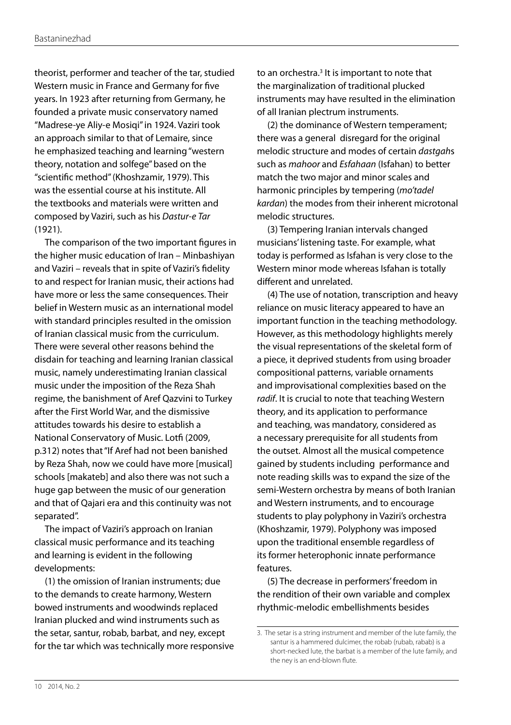theorist, performer and teacher of the tar, studied Western music in France and Germany for five years. In 1923 after returning from Germany, he founded a private music conservatory named "Madrese-ye Aliy-e Mosiqi" in 1924. Vaziri took an approach similar to that of Lemaire, since he emphasized teaching and learning "western theory, notation and solfege" based on the "scientific method" (Khoshzamir, 1979). This was the essential course at his institute. All the textbooks and materials were written and composed by Vaziri, such as his *Dastur-e Tar*  (1921).

The comparison of the two important figures in the higher music education of Iran – Minbashiyan and Vaziri – reveals that in spite of Vaziri's fidelity to and respect for Iranian music, their actions had have more or less the same consequences. Their belief in Western music as an international model with standard principles resulted in the omission of Iranian classical music from the curriculum. There were several other reasons behind the disdain for teaching and learning Iranian classical music, namely underestimating Iranian classical music under the imposition of the Reza Shah regime, the banishment of Aref Qazvini to Turkey after the First World War, and the dismissive attitudes towards his desire to establish a National Conservatory of Music. Lotfi (2009, p.312) notes that "If Aref had not been banished by Reza Shah, now we could have more [musical] schools [makateb] and also there was not such a huge gap between the music of our generation and that of Qajari era and this continuity was not separated".

The impact of Vaziri's approach on Iranian classical music performance and its teaching and learning is evident in the following developments:

(1) the omission of Iranian instruments; due to the demands to create harmony, Western bowed instruments and woodwinds replaced Iranian plucked and wind instruments such as the setar, santur, robab, barbat, and ney, except for the tar which was technically more responsive

to an orchestra.<sup>3</sup> It is important to note that the marginalization of traditional plucked instruments may have resulted in the elimination of all Iranian plectrum instruments.

(2) the dominance of Western temperament; there was a general disregard for the original melodic structure and modes of certain *dastgah*s such as *mahoor* and *Esfahaan* (Isfahan) to better match the two major and minor scales and harmonic principles by tempering (*mo'tadel kardan*) the modes from their inherent microtonal melodic structures.

(3) Tempering Iranian intervals changed musicians' listening taste. For example, what today is performed as Isfahan is very close to the Western minor mode whereas Isfahan is totally different and unrelated.

(4) The use of notation, transcription and heavy reliance on music literacy appeared to have an important function in the teaching methodology. However, as this methodology highlights merely the visual representations of the skeletal form of a piece, it deprived students from using broader compositional patterns, variable ornaments and improvisational complexities based on the *radif*. It is crucial to note that teaching Western theory, and its application to performance and teaching, was mandatory, considered as a necessary prerequisite for all students from the outset. Almost all the musical competence gained by students including performance and note reading skills was to expand the size of the semi-Western orchestra by means of both Iranian and Western instruments, and to encourage students to play polyphony in Vaziri's orchestra (Khoshzamir, 1979). Polyphony was imposed upon the traditional ensemble regardless of its former heterophonic innate performance features.

(5) The decrease in performers' freedom in the rendition of their own variable and complex rhythmic-melodic embellishments besides

<sup>3.</sup> The setar is a string instrument and member of the lute family, the santur is a hammered dulcimer, the robab (rubab, rabab) is a short-necked lute, the barbat is a member of the lute family, and the ney is an end-blown flute.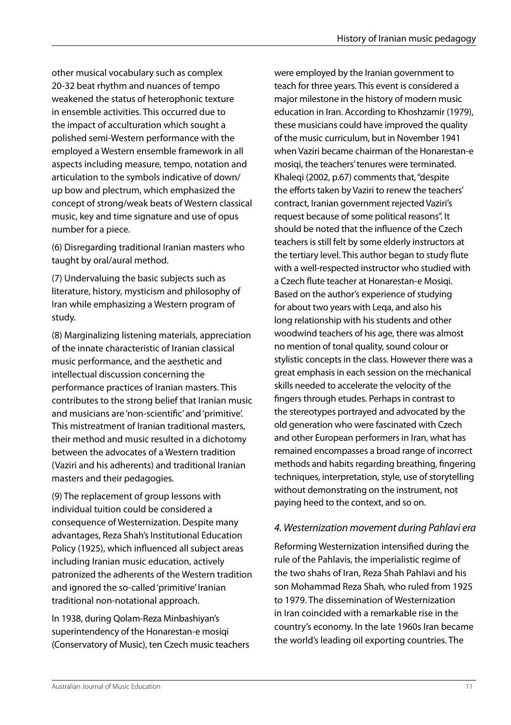other musical vocabulary such as complex 20-32 beat rhythm and nuances of tempo weakened the status of heterophonic texture in ensemble activities. This occurred due to the impact of acculturation which sought a polished semi-Western performance with the employed a Western ensemble framework in all aspects including measure, tempo, notation and articulation to the symbols indicative of down/ up bow and plectrum, which emphasized the concept of strong/weak beats of Western classical music, key and time signature and use of opus number for a piece.

(6) Disregarding traditional Iranian masters who taught by oral/aural method.

(7) Undervaluing the basic subjects such as literature, history, mysticism and philosophy of Iran while emphasizing a Western program of study.

(8) Marginalizing listening materials, appreciation of the innate characteristic of Iranian classical music performance, and the aesthetic and intellectual discussion concerning the performance practices of Iranian masters. This contributes to the strong belief that Iranian music and musicians are 'non-scientific' and 'primitive'. This mistreatment of Iranian traditional masters, their method and music resulted in a dichotomy between the advocates of a Western tradition (Vaziri and his adherents) and traditional Iranian masters and their pedagogies.

(9) The replacement of group lessons with individual tuition could be considered a consequence of Westernization. Despite many advantages, Reza Shah's Institutional Education Policy (1925), which influenced all subject areas including Iranian music education, actively patronized the adherents of the Western tradition and ignored the so-called 'primitive' Iranian traditional non-notational approach.

In 1938, during Qolam-Reza Minbashiyan's superintendency of the Honarestan-e mosiqi (Conservatory of Music), ten Czech music teachers were employed by the Iranian government to teach for three years. This event is considered a major milestone in the history of modern music education in Iran. According to Khoshzamir (1979), these musicians could have improved the quality of the music curriculum, but in November 1941 when Vaziri became chairman of the Honarestan-e mosigi, the teachers' tenures were terminated. Khaleqi (2002, p.67) comments that, "despite the efforts taken by Vaziri to renew the teachers' contract, Iranian government rejected Vaziri's request because of some political reasons". It should be noted that the influence of the Czech teachers is still felt by some elderly instructors at the tertiary level. This author began to study flute with a well-respected instructor who studied with a Czech flute teacher at Honarestan-e Mosiqi. Based on the author's experience of studying for about two years with Leqa, and also his long relationship with his students and other woodwind teachers of his age, there was almost no mention of tonal quality, sound colour or stylistic concepts in the class. However there was a great emphasis in each session on the mechanical skills needed to accelerate the velocity of the fingers through etudes. Perhaps in contrast to the stereotypes portrayed and advocated by the old generation who were fascinated with Czech and other European performers in Iran, what has remained encompasses a broad range of incorrect methods and habits regarding breathing, fingering techniques, interpretation, style, use of storytelling without demonstrating on the instrument, not paying heed to the context, and so on.

#### *4. Westernization movement during Pahlavi era*

Reforming Westernization intensified during the rule of the Pahlavis, the imperialistic regime of the two shahs of Iran, Reza Shah Pahlavi and his son Mohammad Reza Shah*,* who ruled from 1925 to 1979. The dissemination of Westernization in Iran coincided with a remarkable rise in the country's economy. In the late 1960s Iran became the world's leading oil exporting countries. The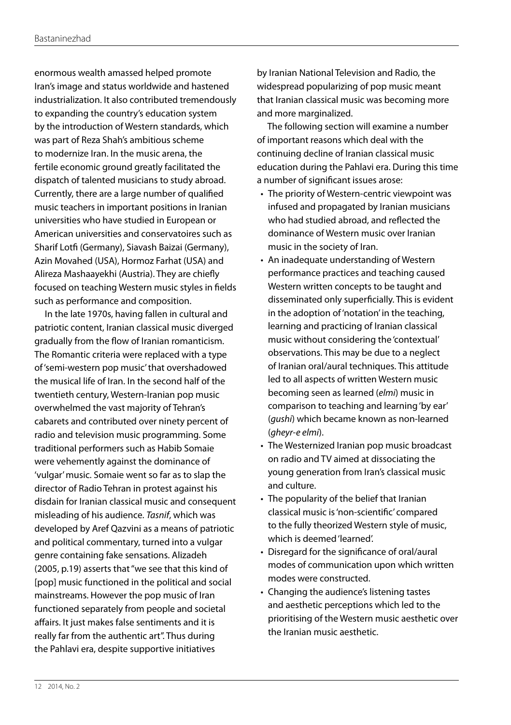enormous wealth amassed helped promote Iran's image and status worldwide and hastened industrialization. It also contributed tremendously to expanding the country's education system by the introduction of Western standards, which was part of Reza Shah's ambitious scheme to modernize Iran. In the music arena, the fertile economic ground greatly facilitated the dispatch of talented musicians to study abroad. Currently, there are a large number of qualified music teachers in important positions in Iranian universities who have studied in European or American universities and conservatoires such as Sharif Lotfi (Germany), Siavash Baizai (Germany), Azin Movahed (USA), Hormoz Farhat (USA) and Alireza Mashaayekhi (Austria). They are chiefly focused on teaching Western music styles in fields such as performance and composition.

In the late 1970s, having fallen in cultural and patriotic content, Iranian classical music diverged gradually from the flow of Iranian romanticism. The Romantic criteria were replaced with a type of 'semi-western pop music' that overshadowed the musical life of Iran. In the second half of the twentieth century, Western-Iranian pop music overwhelmed the vast majority of Tehran's cabarets and contributed over ninety percent of radio and television music programming. Some traditional performers such as Habib Somaie were vehemently against the dominance of 'vulgar' music. Somaie went so far as to slap the director of Radio Tehran in protest against his disdain for Iranian classical music and consequent misleading of his audience. *Tasnif*, which was developed by Aref Qazvini as a means of patriotic and political commentary, turned into a vulgar genre containing fake sensations. Alizadeh (2005, p.19) asserts that "we see that this kind of [pop] music functioned in the political and social mainstreams. However the pop music of Iran functioned separately from people and societal affairs. It just makes false sentiments and it is really far from the authentic art". Thus during the Pahlavi era, despite supportive initiatives

by Iranian National Television and Radio, the widespread popularizing of pop music meant that Iranian classical music was becoming more and more marginalized.

The following section will examine a number of important reasons which deal with the continuing decline of Iranian classical music education during the Pahlavi era. During this time a number of significant issues arose:

- The priority of Western-centric viewpoint was infused and propagated by Iranian musicians who had studied abroad, and reflected the dominance of Western music over Iranian music in the society of Iran.
- An inadequate understanding of Western performance practices and teaching caused Western written concepts to be taught and disseminated only superficially. This is evident in the adoption of 'notation' in the teaching, learning and practicing of Iranian classical music without considering the 'contextual' observations. This may be due to a neglect of Iranian oral/aural techniques. This attitude led to all aspects of written Western music becoming seen as learned (*elmi*) music in comparison to teaching and learning 'by ear' (*gushi*) which became known as non-learned (*gheyr-e elmi*).
- The Westernized Iranian pop music broadcast on radio and TV aimed at dissociating the young generation from Iran's classical music and culture.
- The popularity of the belief that Iranian classical music is 'non-scientific' compared to the fully theorized Western style of music, which is deemed 'learned'.
- Disregard for the significance of oral/aural modes of communication upon which written modes were constructed.
- Changing the audience's listening tastes and aesthetic perceptions which led to the prioritising of the Western music aesthetic over the Iranian music aesthetic.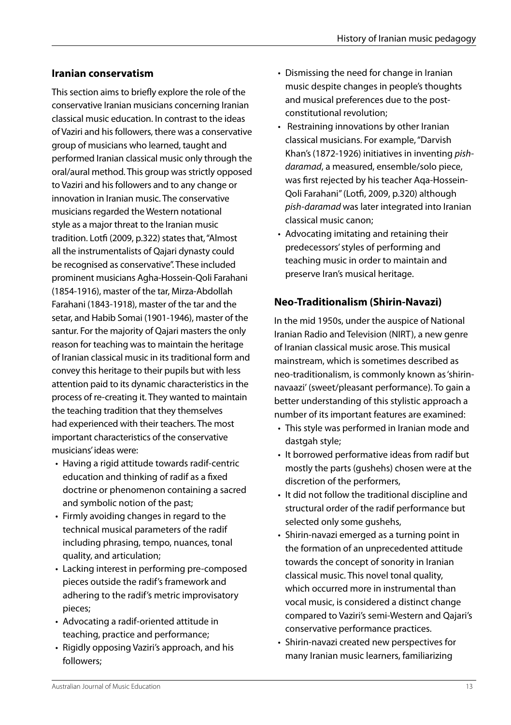#### **Iranian conservatism**

This section aims to briefly explore the role of the conservative Iranian musicians concerning Iranian classical music education. In contrast to the ideas of Vaziri and his followers, there was a conservative group of musicians who learned, taught and performed Iranian classical music only through the oral/aural method. This group was strictly opposed to Vaziri and his followers and to any change or innovation in Iranian music. The conservative musicians regarded the Western notational style as a major threat to the Iranian music tradition. Lotfi (2009, p.322) states that, "Almost all the instrumentalists of Qajari dynasty could be recognised as conservative". These included prominent musicians Agha-Hossein-Qoli Farahani (1854-1916), master of the tar, Mirza-Abdollah Farahani (1843-1918), master of the tar and the setar, and Habib Somai (1901-1946), master of the santur. For the majority of Qajari masters the only reason for teaching was to maintain the heritage of Iranian classical music in its traditional form and convey this heritage to their pupils but with less attention paid to its dynamic characteristics in the process of re-creating it. They wanted to maintain the teaching tradition that they themselves had experienced with their teachers. The most important characteristics of the conservative musicians' ideas were:

- Having a rigid attitude towards radif-centric education and thinking of radif as a fixed doctrine or phenomenon containing a sacred and symbolic notion of the past;
- Firmly avoiding changes in regard to the technical musical parameters of the radif including phrasing, tempo, nuances, tonal quality, and articulation;
- Lacking interest in performing pre-composed pieces outside the radif's framework and adhering to the radif's metric improvisatory pieces;
- • Advocating a radif-oriented attitude in teaching, practice and performance;
- • Rigidly opposing Vaziri's approach, and his followers;
- Dismissing the need for change in Iranian music despite changes in people's thoughts and musical preferences due to the postconstitutional revolution;
- Restraining innovations by other Iranian classical musicians. For example, "Darvish Khan's(1872-1926) initiatives in inventing *pishdaramad*, a measured, ensemble/solo piece, was first rejected by his teacher Aqa-Hossein-Qoli Farahani" (Lotfi, 2009, p.320) although *pish-daramad* was later integrated into Iranian classical music canon;
- Advocating imitating and retaining their predecessors' styles of performing and teaching music in order to maintain and preserve Iran's musical heritage.

### **Neo-Traditionalism (Shirin-Navazi)**

In the mid 1950s, under the auspice of National Iranian Radio and Television (NIRT), a new genre of Iranian classical music arose. This musical mainstream, which is sometimes described as neo-traditionalism, is commonly known as 'shirinnavaazi' (sweet/pleasant performance). To gain a better understanding of this stylistic approach a number of its important features are examined:

- This style was performed in Iranian mode and dastgah style;
- It borrowed performative ideas from radif but mostly the parts (gushehs) chosen were at the discretion of the performers,
- It did not follow the traditional discipline and structural order of the radif performance but selected only some gushehs,
- Shirin-navazi emerged as a turning point in the formation of an unprecedented attitude towards the concept of sonority in Iranian classical music. This novel tonal quality, which occurred more in instrumental than vocal music, is considered a distinct change compared to Vaziri's semi-Western and Qajari's conservative performance practices.
- • Shirin-navazi created new perspectives for many Iranian music learners, familiarizing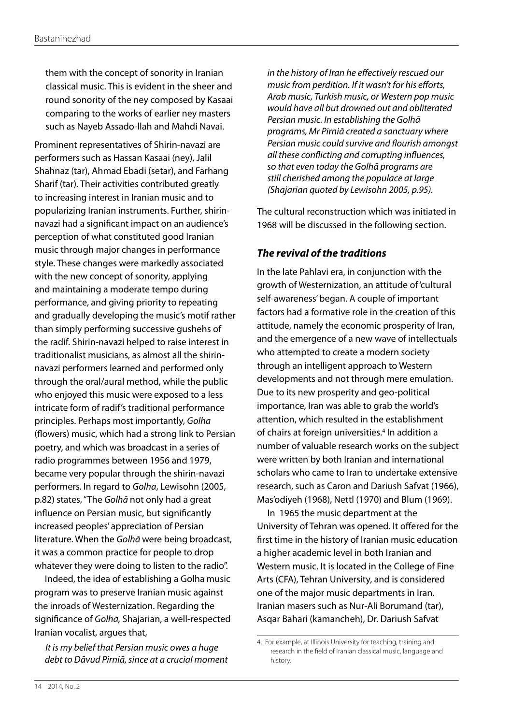them with the concept of sonority in Iranian classical music. This is evident in the sheer and round sonority of the ney composed by Kasaai comparing to the works of earlier ney masters such as Nayeb Assado-llah and Mahdi Navai.

Prominent representatives of Shirin-navazi are performers such as Hassan Kasaai (ney), Jalil Shahnaz (tar), Ahmad Ebadi (setar), and Farhang Sharif (tar)*.* Their activities contributed greatly to increasing interest in Iranian music and to popularizing Iranian instruments. Further, shirinnavazi had a significant impact on an audience's perception of what constituted good Iranian music through major changes in performance style. These changes were markedly associated with the new concept of sonority, applying and maintaining a moderate tempo during performance, and giving priority to repeating and gradually developing the music's motif rather than simply performing successive gushehs of the radif. Shirin-navazi helped to raise interest in traditionalist musicians, as almost all the shirinnavazi performers learned and performed only through the oral/aural method, while the public who enjoyed this music were exposed to a less intricate form of radif's traditional performance principles. Perhaps most importantly, *Golha* (flowers) music, which had a strong link to Persian poetry, and which was broadcast in a series of radio programmes between 1956 and 1979, became very popular through the shirin-navazi performers. In regard to *Golha*, Lewisohn (2005, p.82) states, "The *Golhā* not only had a great influence on Persian music, but significantly increased peoples' appreciation of Persian literature. When the *Golhā* were being broadcast, it was a common practice for people to drop whatever they were doing to listen to the radio".

Indeed, the idea of establishing a Golha music program was to preserve Iranian music against the inroads of Westernization. Regarding the significance of *Golhā,* Shajarian, a well-respected Iranian vocalist, argues that,

*It is my belief that Persian music owes a huge debt to Dāvud Pirniā, since at a crucial moment*  *in the history of Iran he effectively rescued our music from perdition. If it wasn't for his efforts, Arab music, Turkish music, or Western pop music would have all but drowned out and obliterated Persian music. In establishing the Golhā programs, Mr Pirniā created a sanctuary where Persian music could survive and flourish amongst all these conflicting and corrupting influences, so that even today the Golhā programs are still cherished among the populace at large (Shajarian quoted by Lewisohn 2005, p.95).*

The cultural reconstruction which was initiated in 1968 will be discussed in the following section.

#### *The revival of the traditions*

In the late Pahlavi era, in conjunction with the growth of Westernization, an attitude of 'cultural self-awareness' began. A couple of important factors had a formative role in the creation of this attitude, namely the economic prosperity of Iran, and the emergence of a new wave of intellectuals who attempted to create a modern society through an intelligent approach to Western developments and not through mere emulation. Due to its new prosperity and geo-political importance, Iran was able to grab the world's attention, which resulted in the establishment of chairs at foreign universities.<sup>4</sup> In addition a number of valuable research works on the subject were written by both Iranian and international scholars who came to Iran to undertake extensive research, such as Caron and Dariush Safvat (1966), Mas'odiyeh (1968), Nettl (1970) and Blum (1969).

In 1965 the music department at the University of Tehran was opened. It offered for the first time in the history of Iranian music education a higher academic level in both Iranian and Western music. It is located in the College of Fine Arts (CFA), Tehran University, and is considered one of the major music departments in Iran. Iranian masers such as Nur-Ali Borumand (tar), Asqar Bahari (kamancheh), Dr. Dariush Safvat

<sup>4.</sup> For example, at Illinois University for teaching, training and research in the field of Iranian classical music, language and history.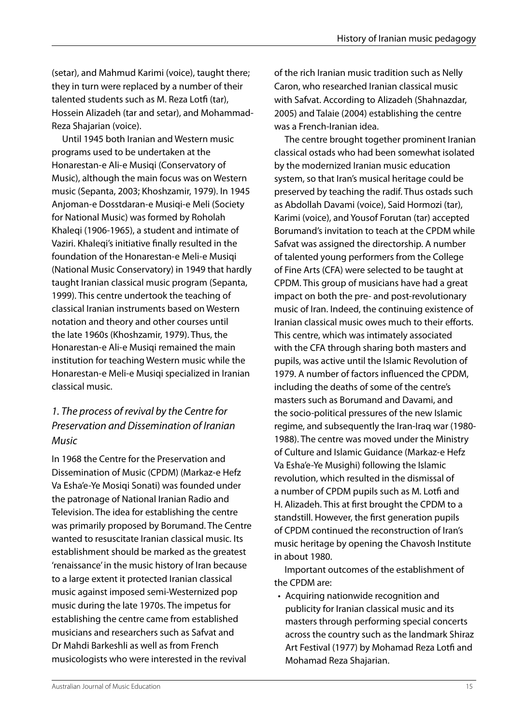(setar), and Mahmud Karimi (voice), taught there; they in turn were replaced by a number of their talented students such as M. Reza Lotfi (tar), Hossein Alizadeh (tar and setar), and Mohammad-Reza Shajarian (voice).

Until 1945 both Iranian and Western music programs used to be undertaken at the Honarestan-e Ali-e Musiqi (Conservatory of Music), although the main focus was on Western music (Sepanta, 2003; Khoshzamir, 1979). In 1945 Anjoman-e Dosstdaran-e Musiqi-e Meli (Society for National Music) was formed by Roholah Khaleqi (1906-1965), a student and intimate of Vaziri. Khaleqi's initiative finally resulted in the foundation of the Honarestan-e Meli-e Musiqi (National Music Conservatory) in 1949 that hardly taught Iranian classical music program (Sepanta, 1999). This centre undertook the teaching of classical Iranian instruments based on Western notation and theory and other courses until the late 1960s (Khoshzamir, 1979). Thus, the Honarestan-e Ali-e Musiqi remained the main institution for teaching Western music while the Honarestan-e Meli-e Musiqi specialized in Iranian classical music.

# *1. The process of revival by the Centre for Preservation and Dissemination of Iranian Music*

In 1968 the Centre for the Preservation and Dissemination of Music (CPDM) (Markaz-e Hefz Va Esha'e-Ye Mosiqi Sonati) was founded under the patronage of National Iranian Radio and Television. The idea for establishing the centre was primarily proposed by Borumand. The Centre wanted to resuscitate Iranian classical music. Its establishment should be marked as the greatest 'renaissance' in the music history of Iran because to a large extent it protected Iranian classical music against imposed semi-Westernized pop music during the late 1970s. The impetus for establishing the centre came from established musicians and researchers such as Safvat and Dr Mahdi Barkeshli as well as from French musicologists who were interested in the revival

of the rich Iranian music tradition such as Nelly Caron, who researched Iranian classical music with Safvat. According to Alizadeh (Shahnazdar, 2005) and Talaie (2004) establishing the centre was a French-Iranian idea.

The centre brought together prominent Iranian classical ostads who had been somewhat isolated by the modernized Iranian music education system, so that Iran's musical heritage could be preserved by teaching the radif. Thus ostads such as Abdollah Davami (voice), Said Hormozi (tar), Karimi (voice), and Yousof Forutan (tar) accepted Borumand's invitation to teach at the CPDM while Safvat was assigned the directorship. A number of talented young performers from the College of Fine Arts (CFA) were selected to be taught at CPDM. This group of musicians have had a great impact on both the pre- and post-revolutionary music of Iran. Indeed, the continuing existence of Iranian classical music owes much to their efforts. This centre, which was intimately associated with the CFA through sharing both masters and pupils, was active until the Islamic Revolution of 1979. A number of factors influenced the CPDM, including the deaths of some of the centre's masters such as Borumand and Davami, and the socio-political pressures of the new Islamic regime, and subsequently the Iran-Iraq war (1980- 1988). The centre was moved under the Ministry of Culture and Islamic Guidance (Markaz-e Hefz Va Esha'e-Ye Musighi) following the Islamic revolution, which resulted in the dismissal of a number of CPDM pupils such as M. Lotfi and H. Alizadeh. This at first brought the CPDM to a standstill. However, the first generation pupils of CPDM continued the reconstruction of Iran's music heritage by opening the Chavosh Institute in about 1980.

Important outcomes of the establishment of the CPDM are:

• Acquiring nationwide recognition and publicity for Iranian classical music and its masters through performing special concerts across the country such as the landmark Shiraz Art Festival (1977) by Mohamad Reza Lotfi and Mohamad Reza Shajarian.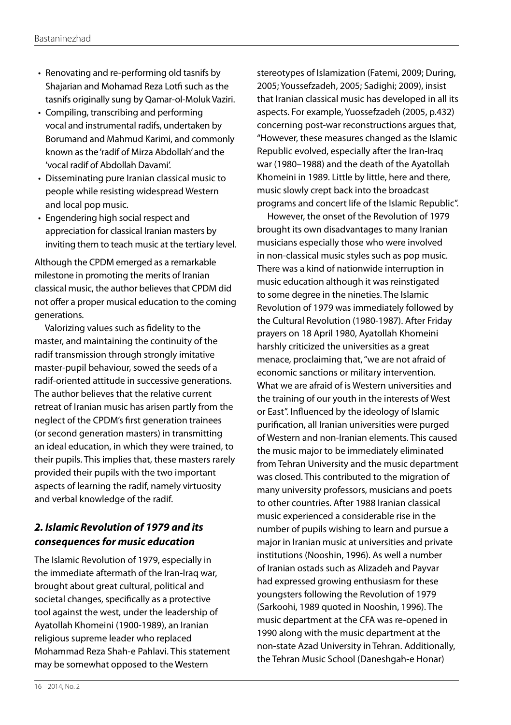- Renovating and re-performing old tasnifs by Shajarian and Mohamad Reza Lotfi such as the tasnifs originally sung by Qamar-ol-Moluk Vaziri.
- Compiling, transcribing and performing vocal and instrumental radifs, undertaken by Borumand and Mahmud Karimi, and commonly known as the 'radif of Mirza Abdollah' and the 'vocal radif of Abdollah Davami'.
- Disseminating pure Iranian classical music to people while resisting widespread Western and local pop music.
- Engendering high social respect and appreciation for classical Iranian masters by inviting them to teach music at the tertiary level.

Although the CPDM emerged as a remarkable milestone in promoting the merits of Iranian classical music, the author believes that CPDM did not offer a proper musical education to the coming generations.

Valorizing values such as fidelity to the master, and maintaining the continuity of the radif transmission through strongly imitative master-pupil behaviour, sowed the seeds of a radif-oriented attitude in successive generations. The author believes that the relative current retreat of Iranian music has arisen partly from the neglect of the CPDM's first generation trainees (or second generation masters) in transmitting an ideal education, in which they were trained, to their pupils. This implies that, these masters rarely provided their pupils with the two important aspects of learning the radif, namely virtuosity and verbal knowledge of the radif.

# *2. Islamic Revolution of 1979 and its consequences for music education*

The Islamic Revolution of 1979, especially in the immediate aftermath of the Iran-Iraq war, brought about great cultural, political and societal changes, specifically as a protective tool against the west, under the leadership of Ayatollah Khomeini (1900-1989), an Iranian religious supreme leader who replaced Mohammad Reza Shah-e Pahlavi. This statement may be somewhat opposed to the Western

stereotypes of Islamization (Fatemi, 2009; During, 2005; Youssefzadeh, 2005; Sadighi; 2009), insist that Iranian classical music has developed in all its aspects. For example, Yuossefzadeh (2005, p.432) concerning post-war reconstructions argues that, "However, these measures changed as the Islamic Republic evolved, especially after the Iran-Iraq war (1980–1988) and the death of the Ayatollah Khomeini in 1989. Little by little, here and there, music slowly crept back into the broadcast programs and concert life of the Islamic Republic".

However, the onset of the Revolution of 1979 brought its own disadvantages to many Iranian musicians especially those who were involved in non-classical music styles such as pop music. There was a kind of nationwide interruption in music education although it was reinstigated to some degree in the nineties. The Islamic Revolution of 1979 was immediately followed by the Cultural Revolution (1980-1987). After Friday prayers on 18 April 1980, Ayatollah Khomeini harshly criticized the universities as a great menace, proclaiming that, "we are not afraid of economic sanctions or military intervention. What we are afraid of is Western universities and the training of our youth in the interests of West or East". Influenced by the ideology of Islamic purification, all Iranian universities were purged of Western and non-Iranian elements. This caused the music major to be immediately eliminated from Tehran University and the music department was closed. This contributed to the migration of many university professors, musicians and poets to other countries. After 1988 Iranian classical music experienced a considerable rise in the number of pupils wishing to learn and pursue a major in Iranian music at universities and private institutions (Nooshin, 1996). As well a number of Iranian ostads such as Alizadeh and Payvar had expressed growing enthusiasm for these youngsters following the Revolution of 1979 (Sarkoohi, 1989 quoted in Nooshin, 1996). The music department at the CFA was re-opened in 1990 along with the music department at the non-state Azad University in Tehran. Additionally, the Tehran Music School (Daneshgah-e Honar)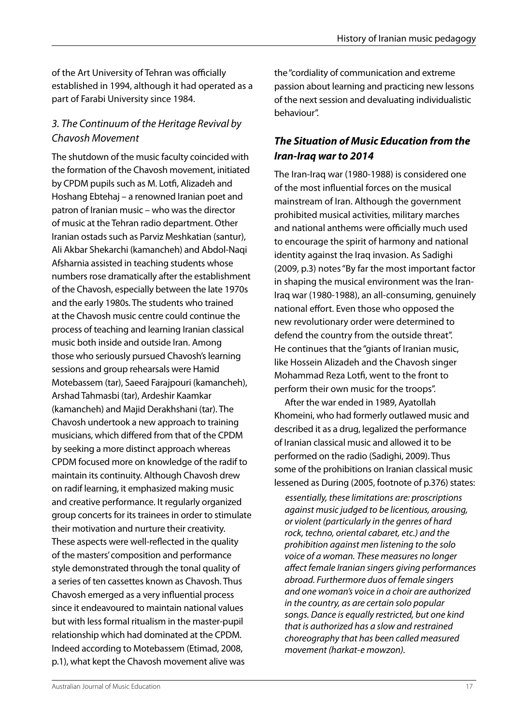of the Art University of Tehran was officially established in 1994, although it had operated as a part of Farabi University since 1984.

# *3. The Continuum of the Heritage Revival by Chavosh Movement*

The shutdown of the music faculty coincided with the formation of the Chavosh movement, initiated by CPDM pupils such as M. Lotfi, Alizadeh and Hoshang Ebtehaj – a renowned Iranian poet and patron of Iranian music – who was the director of music at the Tehran radio department. Other Iranian ostads such as Parviz Meshkatian (santur), Ali Akbar Shekarchi (kamancheh) and Abdol-Naqi Afsharnia assisted in teaching students whose numbers rose dramatically after the establishment of the Chavosh, especially between the late 1970s and the early 1980s. The students who trained at the Chavosh music centre could continue the process of teaching and learning Iranian classical music both inside and outside Iran. Among those who seriously pursued Chavosh's learning sessions and group rehearsals were Hamid Motebassem (tar), Saeed Farajpouri (kamancheh), Arshad Tahmasbi (tar), Ardeshir Kaamkar (kamancheh) and Majid Derakhshani (tar). The Chavosh undertook a new approach to training musicians, which differed from that of the CPDM by seeking a more distinct approach whereas CPDM focused more on knowledge of the radif to maintain its continuity. Although Chavosh drew on radif learning, it emphasized making music and creative performance. It regularly organized group concerts for its trainees in order to stimulate their motivation and nurture their creativity. These aspects were well-reflected in the quality of the masters' composition and performance style demonstrated through the tonal quality of a series of ten cassettes known as Chavosh. Thus Chavosh emerged as a very influential process since it endeavoured to maintain national values but with less formal ritualism in the master-pupil relationship which had dominated at the CPDM. Indeed according to Motebassem (Etimad, 2008, p.1), what kept the Chavosh movement alive was

the "cordiality of communication and extreme passion about learning and practicing new lessons of the next session and devaluating individualistic behaviour".

## *The Situation of Music Education from the Iran-Iraq war to 2014*

The Iran-Iraq war (1980-1988) is considered one of the most influential forces on the musical mainstream of Iran. Although the government prohibited musical activities, military marches and national anthems were officially much used to encourage the spirit of harmony and national identity against the Iraq invasion. As Sadighi (2009, p.3) notes "By far the most important factor in shaping the musical environment was the Iran-Iraq war (1980-1988), an all-consuming, genuinely national effort. Even those who opposed the new revolutionary order were determined to defend the country from the outside threat". He continues that the "giants of Iranian music, like Hossein Alizadeh and the Chavosh singer Mohammad Reza Lotfi, went to the front to perform their own music for the troops".

After the war ended in 1989, Ayatollah Khomeini, who had formerly outlawed music and described it as a drug, legalized the performance of Iranian classical music and allowed it to be performed on the radio (Sadighi, 2009). Thus some of the prohibitions on Iranian classical music lessened as During (2005, footnote of p.376) states:

*essentially, these limitations are: proscriptions against music judged to be licentious, arousing, or violent (particularly in the genres of hard rock, techno, oriental cabaret, etc.) and the prohibition against men listening to the solo voice of a woman. These measures no longer affect female Iranian singers giving performances abroad. Furthermore duos of female singers and one woman's voice in a choir are authorized in the country, as are certain solo popular songs. Dance is equally restricted, but one kind that is authorized has a slow and restrained choreography that has been called measured movement (harkat-e mowzon).*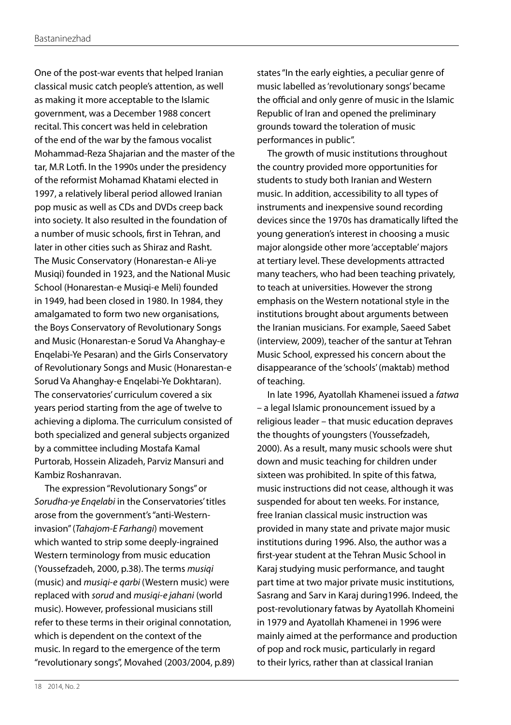One of the post-war events that helped Iranian classical music catch people's attention, as well as making it more acceptable to the Islamic government, was a December 1988 concert recital. This concert was held in celebration of the end of the war by the famous vocalist Mohammad-Reza Shajarian and the master of the tar, M.R Lotfi. In the 1990s under the presidency of the reformist Mohamad Khatami elected in 1997, a relatively liberal period allowed Iranian pop music as well as CDs and DVDs creep back into society. It also resulted in the foundation of a number of music schools, first in Tehran, and later in other cities such as Shiraz and Rasht. The Music Conservatory (Honarestan-e Ali-ye Musiqi) founded in 1923, and the National Music School (Honarestan-e Musiqi-e Meli) founded in 1949, had been closed in 1980. In 1984, they amalgamated to form two new organisations, the Boys Conservatory of Revolutionary Songs and Music (Honarestan-e Sorud Va Ahanghay-e Enqelabi-Ye Pesaran) and the Girls Conservatory of Revolutionary Songs and Music (Honarestan-e Sorud Va Ahanghay-e Enqelabi-Ye Dokhtaran). The conservatories' curriculum covered a six years period starting from the age of twelve to achieving a diploma. The curriculum consisted of both specialized and general subjects organized by a committee including Mostafa Kamal Purtorab, Hossein Alizadeh, Parviz Mansuri and Kambiz Roshanravan.

The expression "Revolutionary Songs" or *Sorudha-ye Enqelabi* in the Conservatories' titles arose from the government's "anti-Westerninvasion" (*Tahajom-E Farhangi*) movement which wanted to strip some deeply-ingrained Western terminology from music education (Youssefzadeh, 2000, p.38). The terms *musiqi*  (music) and *musiqi-e qarbi* (Western music) were replaced with *sorud* and *musiqi-e jahani* (world music). However, professional musicians still refer to these terms in their original connotation, which is dependent on the context of the music. In regard to the emergence of the term "revolutionary songs", Movahed (2003/2004, p.89) states "In the early eighties, a peculiar genre of music labelled as 'revolutionary songs' became the official and only genre of music in the Islamic Republic of Iran and opened the preliminary grounds toward the toleration of music performances in public".

The growth of music institutions throughout the country provided more opportunities for students to study both Iranian and Western music. In addition, accessibility to all types of instruments and inexpensive sound recording devices since the 1970s has dramatically lifted the young generation's interest in choosing a music major alongside other more 'acceptable' majors at tertiary level. These developments attracted many teachers, who had been teaching privately, to teach at universities. However the strong emphasis on the Western notational style in the institutions brought about arguments between the Iranian musicians. For example, Saeed Sabet (interview, 2009), teacher of the santur at Tehran Music School, expressed his concern about the disappearance of the 'schools' (maktab) method of teaching.

In late 1996, Ayatollah Khamenei issued a *fatwa* – a legal Islamic pronouncement issued by a religious leader – that music education depraves the thoughts of youngsters (Youssefzadeh, 2000). As a result, many music schools were shut down and music teaching for children under sixteen was prohibited. In spite of this fatwa, music instructions did not cease, although it was suspended for about ten weeks. For instance, free Iranian classical music instruction was provided in many state and private major music institutions during 1996. Also, the author was a first-year student at the Tehran Music School in Karaj studying music performance, and taught part time at two major private music institutions, Sasrang and Sarv in Karaj during1996. Indeed, the post-revolutionary fatwas by Ayatollah Khomeini in 1979 and Ayatollah Khamenei in 1996 were mainly aimed at the performance and production of pop and rock music, particularly in regard to their lyrics, rather than at classical Iranian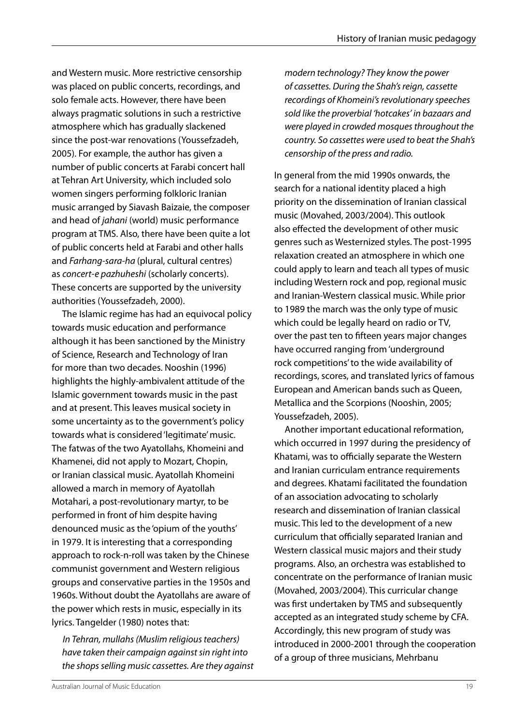and Western music. More restrictive censorship was placed on public concerts, recordings, and solo female acts. However, there have been always pragmatic solutions in such a restrictive atmosphere which has gradually slackened since the post-war renovations (Youssefzadeh, 2005). For example, the author has given a number of public concerts at Farabi concert hall at Tehran Art University, which included solo women singers performing folkloric Iranian music arranged by Siavash Baizaie, the composer and head of *jahani* (world) music performance program at TMS. Also, there have been quite a lot of public concerts held at Farabi and other halls and *Farhang-sara-ha* (plural, cultural centres) as *concert-e pazhuheshi* (scholarly concerts). These concerts are supported by the university authorities (Youssefzadeh, 2000).

The Islamic regime has had an equivocal policy towards music education and performance although it has been sanctioned by the Ministry of Science, Research and Technology of Iran for more than two decades. Nooshin (1996) highlights the highly-ambivalent attitude of the Islamic government towards music in the past and at present. This leaves musical society in some uncertainty as to the government's policy towards what is considered 'legitimate' music. The fatwas of the two Ayatollahs, Khomeini and Khamenei, did not apply to Mozart, Chopin, or Iranian classical music. Ayatollah Khomeini allowed a march in memory of Ayatollah Motahari, a post-revolutionary martyr, to be performed in front of him despite having denounced music as the 'opium of the youths' in 1979. It is interesting that a corresponding approach to rock-n-roll was taken by the Chinese communist government and Western religious groups and conservative parties in the 1950s and 1960s. Without doubt the Ayatollahs are aware of the power which rests in music, especially in its lyrics. Tangelder (1980) notes that:

*In Tehran, mullahs (Muslim religious teachers) have taken their campaign against sin right into the shops selling music cassettes. Are they against*  *modern technology? They know the power of cassettes. During the Shah's reign, cassette recordings of Khomeini's revolutionary speeches sold like the proverbial 'hotcakes' in bazaars and were played in crowded mosques throughout the country. So cassettes were used to beat the Shah's censorship of the press and radio.*

In general from the mid 1990s onwards, the search for a national identity placed a high priority on the dissemination of Iranian classical music (Movahed, 2003/2004). This outlook also effected the development of other music genres such as Westernized styles. The post-1995 relaxation created an atmosphere in which one could apply to learn and teach all types of music including Western rock and pop, regional music and Iranian-Western classical music. While prior to 1989 the march was the only type of music which could be legally heard on radio or TV, over the past ten to fifteen years major changes have occurred ranging from 'underground rock competitions' to the wide availability of recordings, scores, and translated lyrics of famous European and American bands such as Queen, Metallica and the Scorpions (Nooshin, 2005; Youssefzadeh, 2005).

Another important educational reformation, which occurred in 1997 during the presidency of Khatami, was to officially separate the Western and Iranian curriculam entrance requirements and degrees. Khatami facilitated the foundation of an association advocating to scholarly research and dissemination of Iranian classical music. This led to the development of a new curriculum that officially separated Iranian and Western classical music majors and their study programs. Also, an orchestra was established to concentrate on the performance of Iranian music (Movahed, 2003/2004). This curricular change was first undertaken by TMS and subsequently accepted as an integrated study scheme by CFA. Accordingly, this new program of study was introduced in 2000-2001 through the cooperation of a group of three musicians, Mehrbanu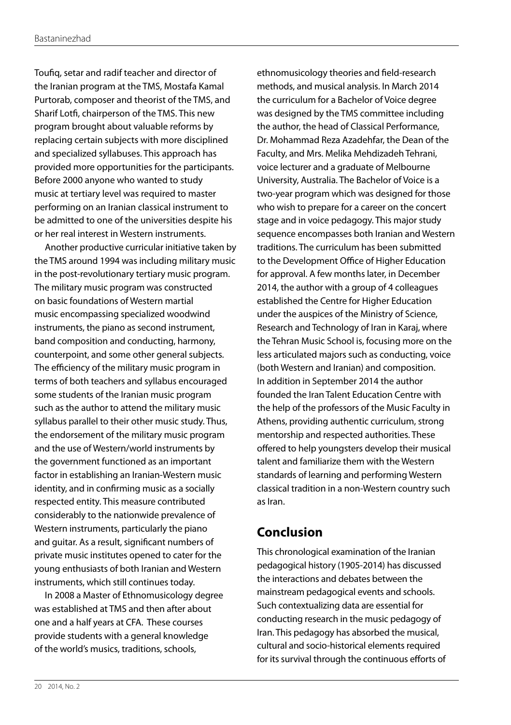Toufiq, setar and radif teacher and director of the Iranian program at the TMS, Mostafa Kamal Purtorab, composer and theorist of the TMS, and Sharif Lotfi, chairperson of the TMS. This new program brought about valuable reforms by replacing certain subjects with more disciplined and specialized syllabuses. This approach has provided more opportunities for the participants. Before 2000 anyone who wanted to study music at tertiary level was required to master performing on an Iranian classical instrument to be admitted to one of the universities despite his or her real interest in Western instruments.

Another productive curricular initiative taken by the TMS around 1994 was including military music in the post-revolutionary tertiary music program. The military music program was constructed on basic foundations of Western martial music encompassing specialized woodwind instruments, the piano as second instrument, band composition and conducting, harmony, counterpoint, and some other general subjects. The efficiency of the military music program in terms of both teachers and syllabus encouraged some students of the Iranian music program such as the author to attend the military music syllabus parallel to their other music study. Thus, the endorsement of the military music program and the use of Western/world instruments by the government functioned as an important factor in establishing an Iranian-Western music identity, and in confirming music as a socially respected entity. This measure contributed considerably to the nationwide prevalence of Western instruments, particularly the piano and guitar. As a result, significant numbers of private music institutes opened to cater for the young enthusiasts of both Iranian and Western instruments, which still continues today.

In 2008 a Master of Ethnomusicology degree was established at TMS and then after about one and a half years at CFA. These courses provide students with a general knowledge of the world's musics, traditions, schools,

ethnomusicology theories and field-research methods, and musical analysis. In March 2014 the curriculum for a Bachelor of Voice degree was designed by the TMS committee including the author, the head of Classical Performance, Dr. Mohammad Reza Azadehfar, the Dean of the Faculty, and Mrs. Melika Mehdizadeh Tehrani, voice lecturer and a graduate of Melbourne University, Australia. The Bachelor of Voice is a two-year program which was designed for those who wish to prepare for a career on the concert stage and in voice pedagogy. This major study sequence encompasses both Iranian and Western traditions. The curriculum has been submitted to the Development Office of Higher Education for approval. A few months later, in December 2014, the author with a group of 4 colleagues established the Centre for Higher Education under the auspices of the Ministry of Science, Research and Technology of Iran in Karaj, where the Tehran Music School is, focusing more on the less articulated majors such as conducting, voice (both Western and Iranian) and composition. In addition in September 2014 the author founded the Iran Talent Education Centre with the help of the professors of the Music Faculty in Athens, providing authentic curriculum, strong mentorship and respected authorities. These offered to help youngsters develop their musical talent and familiarize them with the Western standards of learning and performing Western classical tradition in a non-Western country such as Iran.

# **Conclusion**

This chronological examination of the Iranian pedagogical history (1905-2014) has discussed the interactions and debates between the mainstream pedagogical events and schools. Such contextualizing data are essential for conducting research in the music pedagogy of Iran. This pedagogy has absorbed the musical, cultural and socio-historical elements required for its survival through the continuous efforts of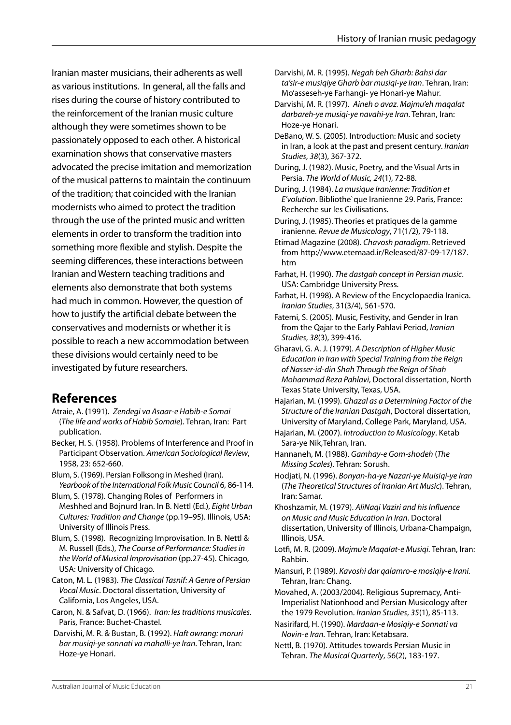Iranian master musicians, their adherents as well as various institutions. In general, all the falls and rises during the course of history contributed to the reinforcement of the Iranian music culture although they were sometimes shown to be passionately opposed to each other. A historical examination shows that conservative masters advocated the precise imitation and memorization of the musical patterns to maintain the continuum of the tradition; that coincided with the Iranian modernists who aimed to protect the tradition through the use of the printed music and written elements in order to transform the tradition into something more flexible and stylish. Despite the seeming differences, these interactions between Iranian and Western teaching traditions and elements also demonstrate that both systems had much in common. However, the question of how to justify the artificial debate between the conservatives and modernists or whether it is possible to reach a new accommodation between these divisions would certainly need to be investigated by future researchers.

# **References**

- Atraie, A. **(**1991). *Zendegi va Asaar-e Habib-e Somai*  (*The life and works of Habib Somaie*). Tehran, Iran: Part publication.
- Becker, H. S. (1958). Problems of Interference and Proof in Participant Observation. *American Sociological Review*, 1958, 23: 652-660.
- Blum, S. (1969). Persian Folksong in Meshed (Iran). *Yearbook of the International Folk Music Council* 6, 86-114.
- Blum, S. (1978). Changing Roles of Performers in Meshhed and Bojnurd Iran. In B. Nettl (Ed.), *Eight Urban Cultures: Tradition and Change* (pp.19–95). Illinois, USA: University of Illinois Press.
- Blum, S. (1998). Recognizing Improvisation. In B. Nettl & M. Russell (Eds.), *The Course of Performance: Studies in the World of Musical Improvisation* (pp.27-45). Chicago, USA: University of Chicago.
- Caton, M. L. (1983). *The Classical Tasnif: A Genre of Persian Vocal Music*. Doctoral dissertation, University of California, Los Angeles, USA.
- Caron, N. & Safvat, D. (1966). *Iran: les traditions musicales*. Paris, France: Buchet-Chastel.
- Darvishi, M. R. & Bustan, B. (1992). *Haft owrang: moruri bar musiqi-ye sonnati va mahalli-ye Iran*. Tehran, Iran: Hoze-ye Honari.
- Darvishi, M. R. (1995). *Negah beh Gharb: Bahsi dar ta'sir-e musiqiye Gharb bar musiqi-ye Iran*. Tehran, Iran: Mo'asseseh-ye Farhangi- ye Honari-ye Mahur.
- Darvishi, M. R. (1997). *Aineh o avaz. Majmu'eh maqalat darbareh-ye musiqi-ye navahi-ye Iran*. Tehran, Iran: Hoze-ye Honari.
- DeBano, W. S. (2005). Introduction: Music and society in Iran, a look at the past and present century. *Iranian Studies*, *38*(3), 367-372.
- During, J. (1982). Music, Poetry, and the Visual Arts in Persia. *The World of Music, 24*(1), 72-88.
- During, J. (1984). *La musique Iranienne: Tradition et E'volution*. Bibliothe`que Iranienne 29. Paris, France: Recherche sur les Civilisations.
- During, J. (1985). Theories et pratiques de la gamme iranienne. *Revue de Musicology*, 71(1/2), 79-118.
- Etimad Magazine (2008). *Chavosh paradigm*. Retrieved from http://www.etemaad.ir/Released/87-09-17/187. htm
- Farhat, H. (1990). *The dastgah concept in Persian music*. USA: Cambridge University Press.
- Farhat, H. (1998). A Review of the Encyclopaedia Iranica. *Iranian Studies*, 31(3/4), 561-570.
- Fatemi, S. (2005). Music, Festivity, and Gender in Iran from the Qajar to the Early Pahlavi Period, *Iranian Studies*, *38*(3), 399-416.
- Gharavi, G. A. J. (1979). *A Description of Higher Music Education in Iran with Special Training from the Reign of Nasser-id-din Shah Through the Reign of Shah Mohammad Reza Pahlavi*, Doctoral dissertation, North Texas State University, Texas, USA.
- Hajarian, M. (1999). *Ghazal as a Determining Factor of the Structure of the Iranian Dastgah*, Doctoral dissertation, University of Maryland, College Park, Maryland, USA.
- Hajarian, M. (2007). *Introduction to Musicology*. Ketab Sara-ye Nik,Tehran, Iran.
- Hannaneh, M. (1988). *Gamhay-e Gom-shodeh* (*The Missing Scales*). Tehran: Sorush.
- Hodjati, N. (1996). *Bonyan-ha-ye Nazari-ye Muisiqi-ye Iran* (*The Theoretical Structures of Iranian Art Music*). Tehran, Iran: Samar.
- Khoshzamir, M. (1979). *AliNaqi Vaziri and his Influence on Music and Music Education in Iran*. Doctoral dissertation, University of Illinois, Urbana-Champaign, Illinois, USA.
- Lotfi, M. R. (2009). *Majmu'e Maqalat-e Musiqi.* Tehran, Iran: Rahbin.
- Mansuri, P. (1989). *Kavoshi dar qalamro-e mosiqiy-e Irani.* Tehran, Iran: Chang.
- Movahed, A. (2003/2004). Religious Supremacy, Anti-Imperialist Nationhood and Persian Musicology after the 1979 Revolution. *Iranian Studies*, *35*(1), 85-113.
- Nasirifard, H. (1990). *Mardaan-e Mosiqiy-e Sonnati va Novin-e Iran.* Tehran, Iran: Ketabsara.
- Nettl, B. (1970). Attitudes towards Persian Music in Tehran. *The Musical Quarterly*, 56(2), 183-197.